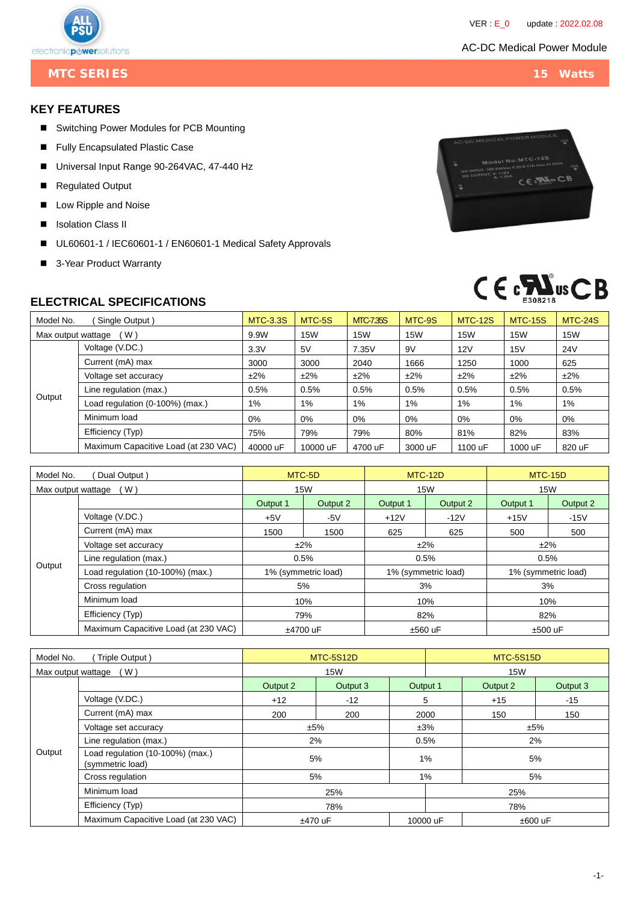### AC-DC Medical Power Module



**MTC SERIES** 15 Watts

### **KEY FEATURES**

- Switching Power Modules for PCB Mounting
- **Fully Encapsulated Plastic Case**
- Universal Input Range 90-264VAC, 47-440 Hz
- Regulated Output
- Low Ripple and Noise
- **I** Isolation Class II
- UL60601-1 / IEC60601-1 / EN60601-1 Medical Safety Approvals
- 3-Year Product Warranty

# CE PASIN CB



## **ELECTRICAL SPECIFICATIONS**

| Model No.<br>Single Output) |                                      | <b>MTC-3.3S</b> | MTC-5S     | <b>MTC7.35S</b> | MTC-9S  | <b>MTC-12S</b> | <b>MTC-15S</b> | <b>MTC-24S</b> |
|-----------------------------|--------------------------------------|-----------------|------------|-----------------|---------|----------------|----------------|----------------|
| (W)<br>Max output wattage   |                                      | 9.9W            | <b>15W</b> | <b>15W</b>      | 15W     | <b>15W</b>     | <b>15W</b>     | <b>15W</b>     |
|                             | Voltage (V.DC.)                      | 3.3V            | 5V         | 7.35V           | 9V      | 12V            | 15V            | <b>24V</b>     |
|                             | Current (mA) max                     | 3000            | 3000       | 2040            | 1666    | 1250           | 1000           | 625            |
| Output                      | Voltage set accuracy                 | $±2\%$          | $±2\%$     | $±2\%$          | $±2\%$  | $±2\%$         | $±2\%$         | ±2%            |
|                             | Line regulation (max.)               | 0.5%            | 0.5%       | 0.5%            | 0.5%    | 0.5%           | 0.5%           | 0.5%           |
|                             | Load regulation (0-100%) (max.)      | 1%              | $1\%$      | 1%              | 1%      | 1%             | 1%             | 1%             |
|                             | Minimum load                         | 0%              | 0%         | 0%              | $0\%$   | 0%             | 0%             | 0%             |
|                             | Efficiency (Typ)                     | 75%             | 79%        | 79%             | 80%     | 81%            | 82%            | 83%            |
|                             | Maximum Capacitive Load (at 230 VAC) | 40000 uF        | 10000 uF   | 4700 uF         | 3000 uF | 1100 uF        | 1000 uF        | 820 uF         |

| Model No.<br>Dual Output) |                                      | MTC-5D              |          | <b>MTC-12D</b>      |          | <b>MTC-15D</b>      |          |
|---------------------------|--------------------------------------|---------------------|----------|---------------------|----------|---------------------|----------|
| (W)<br>Max output wattage |                                      | 15W                 |          | <b>15W</b>          |          | <b>15W</b>          |          |
|                           |                                      | Output 1            | Output 2 | Output 1            | Output 2 | Output 1            | Output 2 |
|                           | Voltage (V.DC.)                      | $+5V$               | -5 $V$   | $+12V$              | $-12V$   | $+15V$              | $-15V$   |
|                           | Current (mA) max                     | 1500                | 1500     | 625                 | 625      | 500                 | 500      |
|                           | Voltage set accuracy                 | ±2%                 |          | $±2\%$              |          | ±2%                 |          |
| Output                    | Line regulation (max.)               | 0.5%                |          |                     | 0.5%     | 0.5%                |          |
|                           | Load regulation (10-100%) (max.)     | 1% (symmetric load) |          | 1% (symmetric load) |          | 1% (symmetric load) |          |
|                           | Cross regulation                     | 5%                  |          |                     | 3%       | 3%                  |          |
|                           | Minimum load                         | 10%                 |          |                     | 10%      | 10%                 |          |
|                           | Efficiency (Typ)                     | 79%                 |          | 82%                 |          | 82%                 |          |
|                           | Maximum Capacitive Load (at 230 VAC) | ±4700 uF            |          | $±560$ uF           |          | $±500$ uF           |          |

| Model No.<br>Triple Output) |                                                      |            | <b>MTC-5S12D</b> |                          | <b>MTC-5S15D</b> |          |          |  |
|-----------------------------|------------------------------------------------------|------------|------------------|--------------------------|------------------|----------|----------|--|
| (W)<br>Max output wattage   |                                                      | <b>15W</b> |                  |                          | <b>15W</b>       |          |          |  |
|                             |                                                      | Output 2   | Output 3         | Output 1                 |                  | Output 2 | Output 3 |  |
|                             | Voltage (V.DC.)                                      | $+12$      | $-12$            | 5                        |                  | $+15$    | $-15$    |  |
|                             | Current (mA) max                                     | 200        | 200              |                          | 2000             | 150      | 150      |  |
|                             | Voltage set accuracy                                 | ±5%        |                  |                          | ±3%              |          | ±5%      |  |
|                             | Line regulation (max.)                               | 2%         |                  |                          | 0.5%             |          | 2%       |  |
| Output                      | Load regulation (10-100%) (max.)<br>(symmetric load) | 5%         |                  |                          | 1%<br>5%         |          |          |  |
|                             | Cross regulation                                     | 5%         |                  | $1\%$                    |                  | 5%       |          |  |
|                             | Minimum load                                         | 25%        |                  |                          | 25%              |          |          |  |
|                             | Efficiency (Typ)                                     | 78%        |                  |                          | 78%              |          |          |  |
|                             | Maximum Capacitive Load (at 230 VAC)                 | ±470 uF    |                  | 10000 uF<br>$\pm 600$ uF |                  |          |          |  |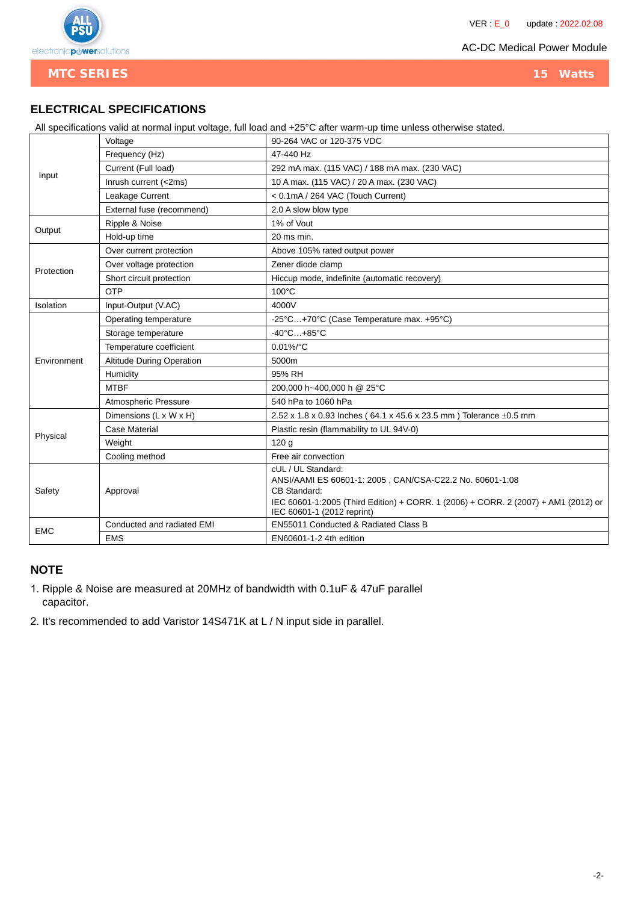

**MTC SERIES** 15 Watts

# **ELECTRICAL SPECIFICATIONS**

All specifications valid at normal input voltage, full load and +25°C after warm-up time unless otherwise stated.

|             | Voltage                          | 90-264 VAC or 120-375 VDC                                                                                                                                                                                          |  |  |  |  |
|-------------|----------------------------------|--------------------------------------------------------------------------------------------------------------------------------------------------------------------------------------------------------------------|--|--|--|--|
|             | Frequency (Hz)                   | 47-440 Hz                                                                                                                                                                                                          |  |  |  |  |
| Input       | Current (Full load)              | 292 mA max. (115 VAC) / 188 mA max. (230 VAC)                                                                                                                                                                      |  |  |  |  |
|             | Inrush current (<2ms)            | 10 A max. (115 VAC) / 20 A max. (230 VAC)                                                                                                                                                                          |  |  |  |  |
|             | Leakage Current                  | < 0.1mA / 264 VAC (Touch Current)                                                                                                                                                                                  |  |  |  |  |
|             | External fuse (recommend)        | 2.0 A slow blow type                                                                                                                                                                                               |  |  |  |  |
|             | Ripple & Noise                   | 1% of Vout                                                                                                                                                                                                         |  |  |  |  |
| Output      | Hold-up time                     | 20 ms min.                                                                                                                                                                                                         |  |  |  |  |
|             | Over current protection          | Above 105% rated output power                                                                                                                                                                                      |  |  |  |  |
| Protection  | Over voltage protection          | Zener diode clamp                                                                                                                                                                                                  |  |  |  |  |
|             | Short circuit protection         | Hiccup mode, indefinite (automatic recovery)                                                                                                                                                                       |  |  |  |  |
|             | OTP                              | 100°C                                                                                                                                                                                                              |  |  |  |  |
| Isolation   | Input-Output (V.AC)              | 4000V                                                                                                                                                                                                              |  |  |  |  |
|             | Operating temperature            | -25°C+70°C (Case Temperature max. +95°C)                                                                                                                                                                           |  |  |  |  |
|             | Storage temperature              | $-40^{\circ}$ C $+85^{\circ}$ C                                                                                                                                                                                    |  |  |  |  |
|             | Temperature coefficient          | $0.01\%$ /°C                                                                                                                                                                                                       |  |  |  |  |
| Environment | <b>Altitude During Operation</b> | 5000m                                                                                                                                                                                                              |  |  |  |  |
|             | Humidity                         | 95% RH                                                                                                                                                                                                             |  |  |  |  |
|             | <b>MTBF</b>                      | 200,000 h~400,000 h @ 25°C                                                                                                                                                                                         |  |  |  |  |
|             | Atmospheric Pressure             | 540 hPa to 1060 hPa                                                                                                                                                                                                |  |  |  |  |
|             | Dimensions (L x W x H)           | 2.52 x 1.8 x 0.93 Inches (64.1 x 45.6 x 23.5 mm) Tolerance $\pm$ 0.5 mm                                                                                                                                            |  |  |  |  |
| Physical    | Case Material                    | Plastic resin (flammability to UL 94V-0)                                                                                                                                                                           |  |  |  |  |
|             | Weight                           | 120 <sub>g</sub>                                                                                                                                                                                                   |  |  |  |  |
|             | Cooling method                   | Free air convection                                                                                                                                                                                                |  |  |  |  |
| Safety      | Approval                         | cUL / UL Standard:<br>ANSI/AAMI ES 60601-1: 2005, CAN/CSA-C22.2 No. 60601-1:08<br>CB Standard:<br>IEC 60601-1:2005 (Third Edition) + CORR. 1 (2006) + CORR. 2 (2007) + AM1 (2012) or<br>IEC 60601-1 (2012 reprint) |  |  |  |  |
|             | Conducted and radiated EMI       | EN55011 Conducted & Radiated Class B                                                                                                                                                                               |  |  |  |  |
| <b>EMC</b>  | <b>EMS</b>                       | EN60601-1-2 4th edition                                                                                                                                                                                            |  |  |  |  |

### **NOTE**

- 1. Ripple & Noise are measured at 20MHz of bandwidth with 0.1uF & 47uF parallel capacitor.
- 2. It's recommended to add Varistor 14S471K at L / N input side in parallel.